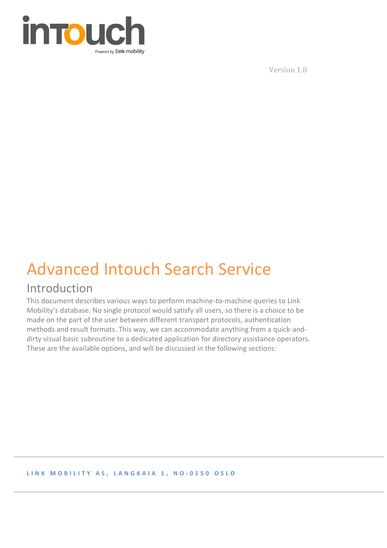

Version 1.8

# Advanced Intouch Search Service

# Introduction

This document describes various ways to perform machine-to-machine queries to Link Mobility's database. No single protocol would satisfy all users, so there is a choice to be made on the part of the user between different transport protocols, authentication methods and result formats. This way, we can accommodate anything from a quick-anddirty visual basic subroutine to a dedicated application for directory assistance operators. These are the available options, and will be discussed in the following sections:

#### **L I N K M O B I L I T Y A S , L A N G K A I A 1 , N O - 0 1 5 0 O S L O**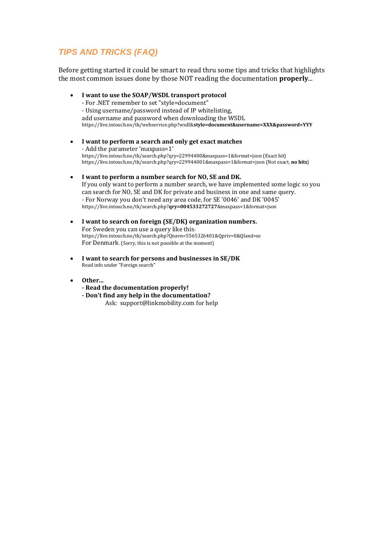### *TIPS AND TRICKS (FAQ)*

Before getting started it could be smart to read thru some tips and tricks that highlights the most common issues done by those NOT reading the documentation **properly**...

- **I want to use the SOAP/WSDL transport protocol** - For .NET remember to set "style=document" - Using username/password instead of IP whitelisting, add username and password when downloading the WSDL https://live.intouch.no/tk/webservice.php?wsdl&**style=document&username=XXX&password=YYY**
- **I want to perform a search and only get exact matches** - Add the parameter 'maxpass=1' https://live.intouch.no/tk/search.php?qry=22994400&maxpass=1&format=json (Exact hit) https://live.intouch.no/tk/search.php?qry=229944001&maxpass=1&format=json (Not exact, **no hits**)
- **I want to perform a number search for NO, SE and DK.** If you only want to perform a number search, we have implemented some logic so you can search for NO, SE and DK for private and business in one and same query. - For Norway you don't need any area code, for SE '0046' and DK '0045' [https://live.intouch.no/tk/search.php?](https://live.intouch.no/tk/search.php?qry=004533272727&maxpass=1&format=json)**qry=004533272727**&maxpass=1&format=json
- **I want to search on foreign (SE/DK) organization numbers.** For Sweden you can use a query like this: https://live.intouch.no/tk/search.php?Qnavn=5565326401&Qpriv=0&Qland=se For Denmark. (Sorry, this is not possible at the moment)
- **I want to search for persons and businesses in SE/DK** Read info under "Foreign search"
- **Other...**
	- **- Read the documentation properly!**
	- **- Don't find any help in the documentation?** Ask: support@linkmobility.com for help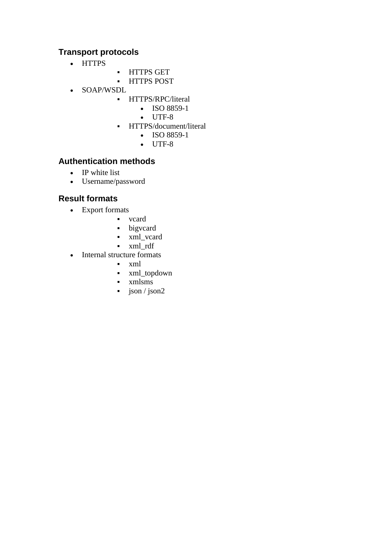### **Transport protocols**

- HTTPS
- **·** HTTPS GET
- HTTPS POST
- SOAP/WSDL
	- **·** HTTPS/RPC/literal
		- ISO 8859-1
		- UTF-8
		- **·** HTTPS/document/literal
			- ISO 8859-1
			- UTF-8

### **Authentication methods**

- IP white list
- Username/password

### **Result formats**

- Export formats
	- vcard
	- bigvcard
	- xml\_vcard
	- xml\_rdf
- Internal structure formats
	- xml
	- xml\_topdown
	- xmlsms
	- $\frac{1}{2}$  json / json 2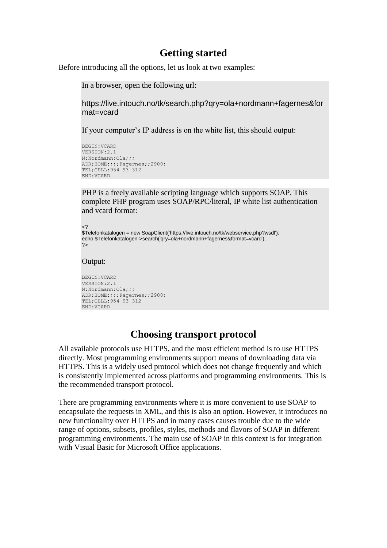### **Getting started**

Before introducing all the options, let us look at two examples:

In a browser, open the following url:

[https://live.intouch.no/tk/search.php?qry=ola+nordmann+fagernes&for](https://live.intouch.no/tk/search.php?qry=ola+nordmann+fagernes&format=vcard) [mat=vcard](https://live.intouch.no/tk/search.php?qry=ola+nordmann+fagernes&format=vcard)

If your computer's IP address is on the white list, this should output:

```
BEGIN:VCARD
VERSION:2.1
N:Nordmann;Ola;;;
ADR;HOME:;;;Fagernes;;2900;
TEL;CELL:954 93 312
END:VCARD
```
PHP is a freely available scripting language which supports SOAP. This complete PHP program uses SOAP/RPC/literal, IP white list authentication and vcard format:

```
\langle$Telefonkatalogen = new SoapClient('https://live.intouch.no/tk/webservice.php?wsdl');
echo $Telefonkatalogen->search('qry=ola+nordmann+fagernes&format=vcard');
?>
```
#### Output:

```
BEGIN:VCARD
VERSION:2.1
N:Nordmann;Ola;;;
ADR;HOME:;;;Fagernes;;2900;
TEL;CELL:954 93 312
END:VCARD
```
## **Choosing transport protocol**

All available protocols use HTTPS, and the most efficient method is to use HTTPS directly. Most programming environments support means of downloading data via HTTPS. This is a widely used protocol which does not change frequently and which is consistently implemented across platforms and programming environments. This is the recommended transport protocol.

There are programming environments where it is more convenient to use SOAP to encapsulate the requests in XML, and this is also an option. However, it introduces no new functionality over HTTPS and in many cases causes trouble due to the wide range of options, subsets, profiles, styles, methods and flavors of SOAP in different programming environments. The main use of SOAP in this context is for integration with Visual Basic for Microsoft Office applications.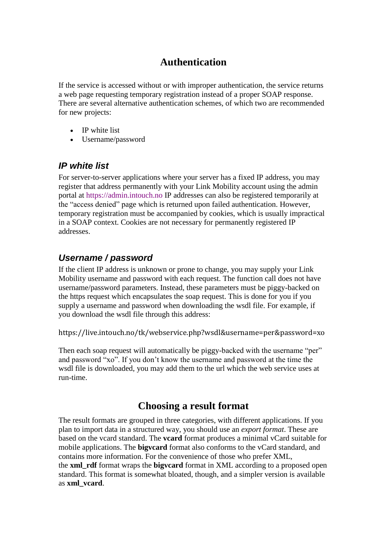# **Authentication**

If the service is accessed without or with improper authentication, the service returns a web page requesting temporary registration instead of a proper SOAP response. There are several alternative authentication schemes, of which two are recommended for new projects:

- IP white list
- Username/password

### *IP white list*

For server-to-server applications where your server has a fixed IP address, you may register that address permanently with your Link Mobility account using the admin portal at [https://admin.intouch.no I](https://admin.intouch.no/)P addresses can also be registered temporarily at the "access denied" page which is returned upon failed authentication. However, temporary registration must be accompanied by cookies, which is usually impractical in a SOAP context. Cookies are not necessary for permanently registered IP addresses.

### *Username / password*

If the client IP address is unknown or prone to change, you may supply your Link Mobility username and password with each request. The function call does not have username/password parameters. Instead, these parameters must be piggy-backed on the https request which encapsulates the soap request. This is done for you if you supply a username and password when downloading the wsdl file. For example, if you download the wsdl file through this address:

<https://live.intouch.no/tk/webservice.php?wsdl&username=per&password=xo>

Then each soap request will automatically be piggy-backed with the username "per" and password "xo". If you don't know the username and password at the time the wsdl file is downloaded, you may add them to the url which the web service uses at run-time.

## **Choosing a result format**

The result formats are grouped in three categories, with different applications. If you plan to import data in a structured way, you should use an *export format*. These are based on the vcard standard. The **vcard** format produces a minimal vCard suitable for mobile applications. The **bigvcard** format also conforms to the vCard standard, and contains more information. For the convenience of those who prefer XML, the **xml\_rdf** format wraps the **bigvcard** format in XML according to a proposed open standard. This format is somewhat bloated, though, and a simpler version is available as **xml\_vcard**.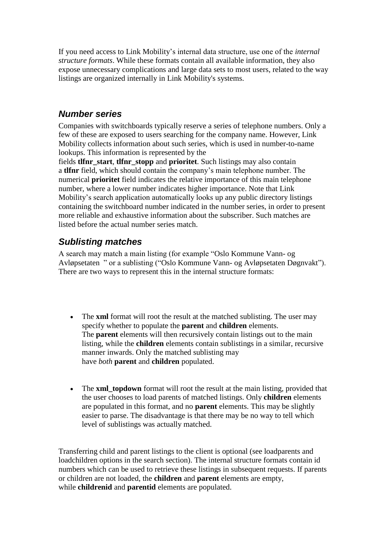If you need access to Link Mobility's internal data structure, use one of the *internal structure formats*. While these formats contain all available information, they also expose unnecessary complications and large data sets to most users, related to the way listings are organized internally in Link Mobility's systems.

### *Number series*

Companies with switchboards typically reserve a series of telephone numbers. Only a few of these are exposed to users searching for the company name. However, Link Mobility collects information about such series, which is used in number-to-name lookups. This information is represented by the

fields **tlfnr\_start**, **tlfnr\_stopp** and **prioritet**. Such listings may also contain a **tlfnr** field, which should contain the company's main telephone number. The numerical **prioritet** field indicates the relative importance of this main telephone number, where a lower number indicates higher importance. Note that Link Mobility's search application automatically looks up any public directory listings containing the switchboard number indicated in the number series, in order to present more reliable and exhaustive information about the subscriber. Such matches are listed before the actual number series match.

### *Sublisting matches*

A search may match a main listing (for example "Oslo Kommune Vann- og Avløpsetaten " or a sublisting ("Oslo Kommune Vann- og Avløpsetaten Døgnvakt"). There are two ways to represent this in the internal structure formats:

- The **xml** format will root the result at the matched sublisting. The user may specify whether to populate the **parent** and **children** elements. The **parent** elements will then recursively contain listings out to the main listing, while the **children** elements contain sublistings in a similar, recursive manner inwards. Only the matched sublisting may have *both* **parent** and **children** populated.
- The **xml topdown** format will root the result at the main listing, provided that the user chooses to load parents of matched listings. Only **children** elements are populated in this format, and no **parent** elements. This may be slightly easier to parse. The disadvantage is that there may be no way to tell which level of sublistings was actually matched.

Transferring child and parent listings to the client is optional (see loadparents and loadchildren options in the search section). The internal structure formats contain id numbers which can be used to retrieve these listings in subsequent requests. If parents or children are not loaded, the **children** and **parent** elements are empty, while **childrenid** and **parentid** elements are populated.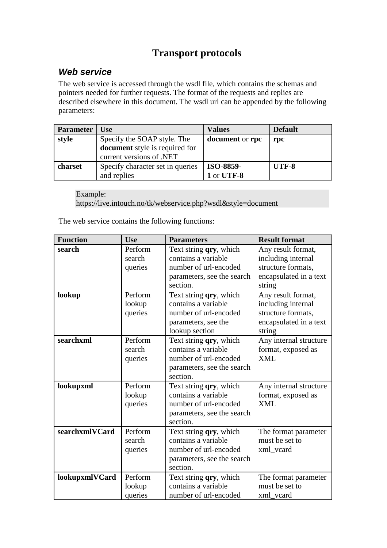# **Transport protocols**

### *Web service*

The web service is accessed through the wsdl file, which contains the schemas and pointers needed for further requests. The format of the requests and replies are described elsewhere in this document. The wsdl url can be appended by the following parameters:

| <b>Parameter</b> | Use                              | <b>Values</b>          | <b>Default</b> |
|------------------|----------------------------------|------------------------|----------------|
| style            | Specify the SOAP style. The      | <b>document</b> or rpc | rpc            |
|                  | document style is required for   |                        |                |
|                  | current versions of .NET         |                        |                |
| charset          | Specify character set in queries | <b>ISO-8859-</b>       | UTF-8          |
|                  | and replies                      | 1 or UTF-8             |                |

Example: <https://live.intouch.no/tk/webservice.php?wsdl&style=document>

The web service contains the following functions:

| <b>Function</b> | <b>Use</b>                   | <b>Parameters</b>                                                                                                | <b>Result format</b>                                                                               |
|-----------------|------------------------------|------------------------------------------------------------------------------------------------------------------|----------------------------------------------------------------------------------------------------|
| search          | Perform<br>search<br>queries | Text string qry, which<br>contains a variable<br>number of url-encoded<br>parameters, see the search<br>section. | Any result format,<br>including internal<br>structure formats,<br>encapsulated in a text<br>string |
| lookup          | Perform<br>lookup<br>queries | Text string qry, which<br>contains a variable<br>number of url-encoded<br>parameters, see the<br>lookup section  | Any result format,<br>including internal<br>structure formats,<br>encapsulated in a text<br>string |
| searchxml       | Perform<br>search<br>queries | Text string qry, which<br>contains a variable<br>number of url-encoded<br>parameters, see the search<br>section. | Any internal structure<br>format, exposed as<br><b>XML</b>                                         |
| lookupxml       | Perform<br>lookup<br>queries | Text string qry, which<br>contains a variable<br>number of url-encoded<br>parameters, see the search<br>section. | Any internal structure<br>format, exposed as<br><b>XML</b>                                         |
| searchxmlVCard  | Perform<br>search<br>queries | Text string qry, which<br>contains a variable<br>number of url-encoded<br>parameters, see the search<br>section. | The format parameter<br>must be set to<br>xml vcard                                                |
| lookupxmlVCard  | Perform<br>lookup<br>queries | Text string <b>qry</b> , which<br>contains a variable<br>number of url-encoded                                   | The format parameter<br>must be set to<br>xml_vcard                                                |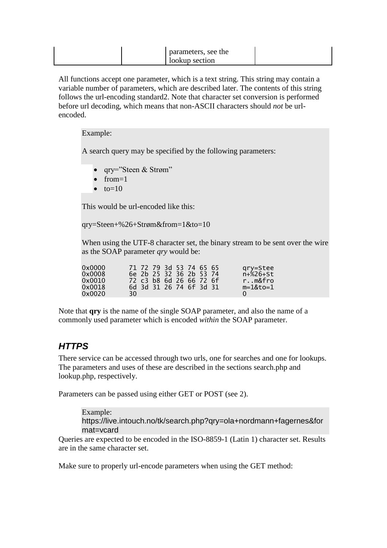| parameters, see the |  |
|---------------------|--|
| lookup section      |  |

All functions accept one parameter, which is a text string. This string may contain a variable number of parameters, which are described later. The contents of this string follows the url-encoding standard2. Note that character set conversion is performed before url decoding, which means that non-ASCII characters should *not* be urlencoded.

#### Example:

A search query may be specified by the following parameters:

- qry="Steen & Strøm"
- $\bullet$  from=1
- $\bullet$  to=10

This would be url-encoded like this:

qry=Steen+%26+Strøm&from=1&to=10

When using the UTF-8 character set, the binary stream to be sent over the wire as the SOAP parameter *qry* would be:

| 0x0000<br>0x0008<br>0x0010<br>0x0018<br>0x0020 | 30. |  |  | 71 72 79 3d 53 74 65 65<br>6e 2b 25 32 36 2b 53 74<br>72 c3 b8 6d 26 66 72 6f<br>6d 3d 31 26 74 6f 3d 31 |  |  |  |  | gry=Stee<br>$n + %26 + St$<br>rm&fro<br>$m = 1&to=1$ |
|------------------------------------------------|-----|--|--|----------------------------------------------------------------------------------------------------------|--|--|--|--|------------------------------------------------------|
|------------------------------------------------|-----|--|--|----------------------------------------------------------------------------------------------------------|--|--|--|--|------------------------------------------------------|

Note that **qry** is the name of the single SOAP parameter, and also the name of a commonly used parameter which is encoded *within* the SOAP parameter.

### *HTTPS*

There service can be accessed through two urls, one for searches and one for lookups. The parameters and uses of these are described in the sections search.php and lookup.php, respectively.

Parameters can be passed using either GET or POST (see 2).

Example: [https://live.intouch.no/tk/search.php?qry=ola+nordmann+fagernes&for](https://live.intouch.no/tk/search.php?qry=ola+nordmann+fagernes&format=vcard) [mat=vcard](https://live.intouch.no/tk/search.php?qry=ola+nordmann+fagernes&format=vcard)

Queries are expected to be encoded in the ISO-8859-1 (Latin 1) character set. Results are in the same character set.

Make sure to properly url-encode parameters when using the GET method: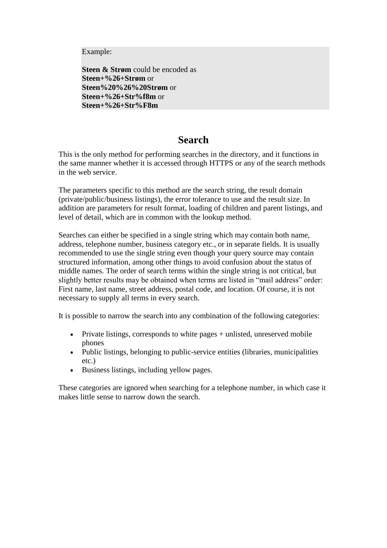Example:

**Steen & Strøm** could be encoded as **Steen+%26+Strøm** or **Steen%20%26%20Strøm** or **Steen+%26+Str%f8m** or **Steen+%26+Str%F8m**

## **Search**

This is the only method for performing searches in the directory, and it functions in the same manner whether it is accessed through HTTPS or any of the search methods in the web service.

The parameters specific to this method are the search string, the result domain (private/public/business listings), the error tolerance to use and the result size. In addition are parameters for result format, loading of children and parent listings, and level of detail, which are in common with the lookup method.

Searches can either be specified in a single string which may contain both name, address, telephone number, business category etc., or in separate fields. It is usually recommended to use the single string even though your query source may contain structured information, among other things to avoid confusion about the status of middle names. The order of search terms within the single string is not critical, but slightly better results may be obtained when terms are listed in "mail address" order: First name, last name, street address, postal code, and location. Of course, it is not necessary to supply all terms in every search.

It is possible to narrow the search into any combination of the following categories:

- Private listings, corresponds to white pages + unlisted, unreserved mobile phones
- Public listings, belonging to public-service entities (libraries, municipalities etc.)
- Business listings, including yellow pages.

These categories are ignored when searching for a telephone number, in which case it makes little sense to narrow down the search.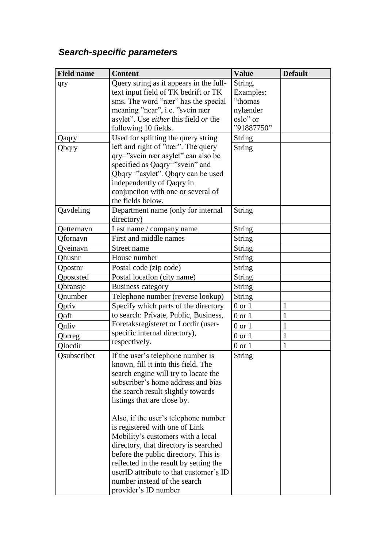# *Search-specific parameters*

| <b>Field name</b> | <b>Content</b>                          | <b>Value</b>  | <b>Default</b> |
|-------------------|-----------------------------------------|---------------|----------------|
| qry               | Query string as it appears in the full- | String.       |                |
|                   | text input field of TK bedrift or TK    | Examples:     |                |
|                   | sms. The word "nær" has the special     | "thomas       |                |
|                   | meaning "near", i.e. "svein nær         | nylænder      |                |
|                   | asylet". Use either this field or the   | oslo" or      |                |
|                   | following 10 fields.                    | "91887750"    |                |
| Qaqry             | Used for splitting the query string     | <b>String</b> |                |
| Qbqry             | left and right of "nær". The query      | <b>String</b> |                |
|                   | qry="svein nær asylet" can also be      |               |                |
|                   | specified as Qaqry="svein" and          |               |                |
|                   | Qbqry="asylet". Qbqry can be used       |               |                |
|                   | independently of Qaqry in               |               |                |
|                   | conjunction with one or several of      |               |                |
|                   | the fields below.                       |               |                |
| Qavdeling         | Department name (only for internal      | <b>String</b> |                |
|                   | directory)                              |               |                |
| Qetternavn        | Last name / company name                | <b>String</b> |                |
| Qfornavn          | First and middle names                  | <b>String</b> |                |
| Oveinavn          | Street name                             | <b>String</b> |                |
| Ohusnr            | House number                            | <b>String</b> |                |
| Qpostnr           | Postal code (zip code)                  | <b>String</b> |                |
| Qpoststed         | Postal location (city name)             | String        |                |
| Qbransje          | <b>Business category</b>                | <b>String</b> |                |
| Qnumber           | Telephone number (reverse lookup)       | <b>String</b> |                |
| Qpriv             | Specify which parts of the directory    | $0$ or $1$    | 1              |
| Qoff              | to search: Private, Public, Business,   | $0$ or $1$    | $\mathbf{1}$   |
| Qnliv             | Foretaksregisteret or Locdir (user-     | $0$ or $1$    | $\mathbf{1}$   |
| Qbrreg            | specific internal directory),           | $0$ or $1$    | $\mathbf{1}$   |
| Qlocdir           | respectively.                           | $0$ or $1$    | $\mathbf{1}$   |
| Osubscriber       | If the user's telephone number is       | String        |                |
|                   | known, fill it into this field. The     |               |                |
|                   | search engine will try to locate the    |               |                |
|                   | subscriber's home address and bias      |               |                |
|                   | the search result slightly towards      |               |                |
|                   | listings that are close by.             |               |                |
|                   | Also, if the user's telephone number    |               |                |
|                   | is registered with one of Link          |               |                |
|                   | Mobility's customers with a local       |               |                |
|                   | directory, that directory is searched   |               |                |
|                   | before the public directory. This is    |               |                |
|                   | reflected in the result by setting the  |               |                |
|                   | userID attribute to that customer's ID  |               |                |
|                   | number instead of the search            |               |                |
|                   | provider's ID number                    |               |                |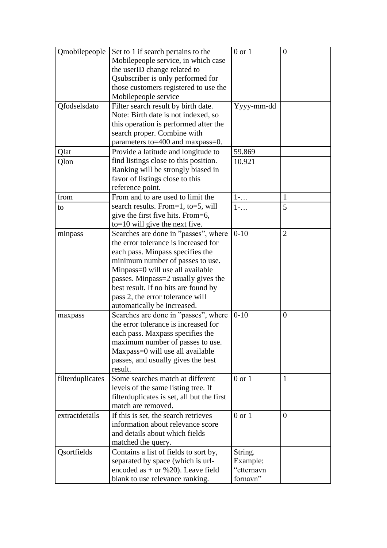| Qmobilepeople    | Set to 1 if search pertains to the<br>Mobilepeople service, in which case | $0$ or $1$             | $\boldsymbol{0}$ |
|------------------|---------------------------------------------------------------------------|------------------------|------------------|
|                  | the userID change related to                                              |                        |                  |
|                  | Qsubscriber is only performed for                                         |                        |                  |
|                  | those customers registered to use the                                     |                        |                  |
|                  | Mobilepeople service                                                      |                        |                  |
| Qfodselsdato     | Filter search result by birth date.                                       | Yyyy-mm-dd             |                  |
|                  | Note: Birth date is not indexed, so                                       |                        |                  |
|                  | this operation is performed after the                                     |                        |                  |
|                  | search proper. Combine with                                               |                        |                  |
|                  | parameters to=400 and maxpass=0.                                          |                        |                  |
| Qlat             | Provide a latitude and longitude to                                       | 59.869                 |                  |
| Qlon             | find listings close to this position.                                     | 10.921                 |                  |
|                  | Ranking will be strongly biased in                                        |                        |                  |
|                  | favor of listings close to this                                           |                        |                  |
|                  | reference point.                                                          |                        |                  |
| from             | From and to are used to limit the                                         | $1-\ldots$             | $\mathbf{1}$     |
| to               | search results. From=1, to=5, will                                        | $1 - \ldots$           | 5                |
|                  | give the first five hits. From=6,                                         |                        |                  |
|                  | to=10 will give the next five.                                            |                        |                  |
| minpass          | Searches are done in "passes", where                                      | $0-10$                 | $\overline{2}$   |
|                  | the error tolerance is increased for                                      |                        |                  |
|                  | each pass. Minpass specifies the                                          |                        |                  |
|                  | minimum number of passes to use.                                          |                        |                  |
|                  | Minpass=0 will use all available                                          |                        |                  |
|                  | passes. Minpass=2 usually gives the                                       |                        |                  |
|                  | best result. If no hits are found by                                      |                        |                  |
|                  | pass 2, the error tolerance will                                          |                        |                  |
|                  | automatically be increased.                                               |                        |                  |
| maxpass          | Searches are done in "passes", where                                      | $0 - 10$               | $\overline{0}$   |
|                  | the error tolerance is increased for                                      |                        |                  |
|                  | each pass. Maxpass specifies the                                          |                        |                  |
|                  | maximum number of passes to use.                                          |                        |                  |
|                  | Maxpass=0 will use all available                                          |                        |                  |
|                  | passes, and usually gives the best                                        |                        |                  |
|                  | result.                                                                   |                        |                  |
| filterduplicates | Some searches match at different                                          | $0$ or $1$             | $\mathbf{1}$     |
|                  | levels of the same listing tree. If                                       |                        |                  |
|                  | filter duplicates is set, all but the first                               |                        |                  |
|                  | match are removed.                                                        |                        |                  |
| extractdetails   | If this is set, the search retrieves                                      | $0$ or $1$             | $\overline{0}$   |
|                  | information about relevance score                                         |                        |                  |
|                  | and details about which fields                                            |                        |                  |
|                  | matched the query.                                                        |                        |                  |
| Qsortfields      | Contains a list of fields to sort by,                                     | String.                |                  |
|                  | separated by space (which is url-                                         | Example:<br>"etternavn |                  |
|                  | encoded as $+$ or %20). Leave field                                       |                        |                  |
|                  | blank to use relevance ranking.                                           | fornavn"               |                  |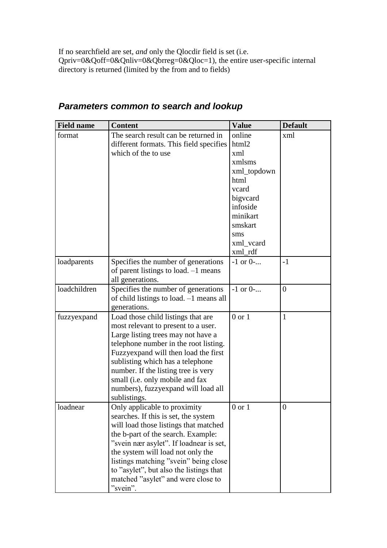If no searchfield are set, *and* only the Qlocdir field is set (i.e. Qpriv=0&Qoff=0&Qnliv=0&Qbrreg=0&Qloc=1), the entire user-specific internal directory is returned (limited by the from and to fields)

| <b>Field name</b> | <b>Content</b>                                                                                                                                                                                                                                                                                                                                                            | <b>Value</b>                                                                                                                                   | <b>Default</b> |
|-------------------|---------------------------------------------------------------------------------------------------------------------------------------------------------------------------------------------------------------------------------------------------------------------------------------------------------------------------------------------------------------------------|------------------------------------------------------------------------------------------------------------------------------------------------|----------------|
| format            | The search result can be returned in<br>different formats. This field specifies<br>which of the to use                                                                                                                                                                                                                                                                    | online<br>html2<br>xml<br>xmlsms<br>xml_topdown<br>html<br>vcard<br>bigycard<br>infoside<br>minikart<br>smskart<br>sms<br>xml_vcard<br>xml_rdf | xml            |
| loadparents       | Specifies the number of generations<br>of parent listings to load. $-1$ means<br>all generations.                                                                                                                                                                                                                                                                         | $-1$ or 0-                                                                                                                                     | $-1$           |
| loadchildren      | Specifies the number of generations<br>of child listings to load. -1 means all<br>generations.                                                                                                                                                                                                                                                                            | $-1$ or $0$ -                                                                                                                                  | $\overline{0}$ |
| fuzzyexpand       | Load those child listings that are<br>most relevant to present to a user.<br>Large listing trees may not have a<br>telephone number in the root listing.<br>Fuzzyexpand will then load the first<br>sublisting which has a telephone<br>number. If the listing tree is very<br>small (i.e. only mobile and fax<br>numbers), fuzzyexpand will load all<br>sublistings.     | $0$ or $1$                                                                                                                                     | $\mathbf{1}$   |
| loadnear          | Only applicable to proximity<br>searches. If this is set, the system<br>will load those listings that matched<br>the b-part of the search. Example:<br>"svein nær asylet". If loadnear is set,<br>the system will load not only the<br>listings matching "svein" being close<br>to "asylet", but also the listings that<br>matched "asylet" and were close to<br>"svein". | $0$ or $1$                                                                                                                                     | $\overline{0}$ |

# *Parameters common to search and lookup*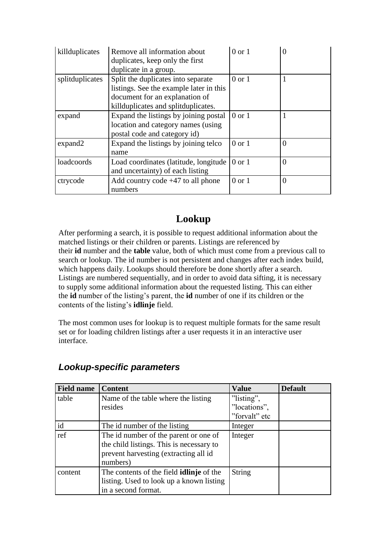| killduplicates  | Remove all information about<br>duplicates, keep only the first<br>duplicate in a group.                                                               | $0$ or $1$        | 0              |
|-----------------|--------------------------------------------------------------------------------------------------------------------------------------------------------|-------------------|----------------|
| splitduplicates | Split the duplicates into separate<br>listings. See the example later in this<br>document for an explanation of<br>killduplicates and splitduplicates. | $0$ or $1$        |                |
| expand          | Expand the listings by joining postal<br>location and category names (using<br>postal code and category id)                                            | $0$ or $1$        |                |
| expand2         | Expand the listings by joining telco<br>name                                                                                                           | $0$ or $1$        | $\overline{0}$ |
| loadcoords      | Load coordinates (latitude, longitude<br>and uncertainty) of each listing                                                                              | $0 \text{ or } 1$ | $\theta$       |
| ctrycode        | Add country code $+47$ to all phone<br>numbers                                                                                                         | $0$ or $1$        | $\theta$       |

# **Lookup**

After performing a search, it is possible to request additional information about the matched listings or their children or parents. Listings are referenced by their **id** number and the **table** value, both of which must come from a previous call to search or lookup. The id number is not persistent and changes after each index build, which happens daily. Lookups should therefore be done shortly after a search. Listings are numbered sequentially, and in order to avoid data sifting, it is necessary to supply some additional information about the requested listing. This can either the **id** number of the listing's parent, the **id** number of one if its children or the contents of the listing's **idlinje** field.

The most common uses for lookup is to request multiple formats for the same result set or for loading children listings after a user requests it in an interactive user interface.

| <b>Field name</b> | <b>Content</b>                                  | <b>Value</b>  | <b>Default</b> |
|-------------------|-------------------------------------------------|---------------|----------------|
| table             | Name of the table where the listing             | "listing",    |                |
|                   | resides                                         | "locations",  |                |
|                   |                                                 | "forvalt" etc |                |
| id                | The id number of the listing                    | Integer       |                |
| ref               | The id number of the parent or one of           | Integer       |                |
|                   | the child listings. This is necessary to        |               |                |
|                   | prevent harvesting (extracting all id           |               |                |
|                   | numbers)                                        |               |                |
| content           | The contents of the field <b>idlinje</b> of the | String        |                |
|                   | listing. Used to look up a known listing        |               |                |
|                   | in a second format.                             |               |                |

## *Lookup-specific parameters*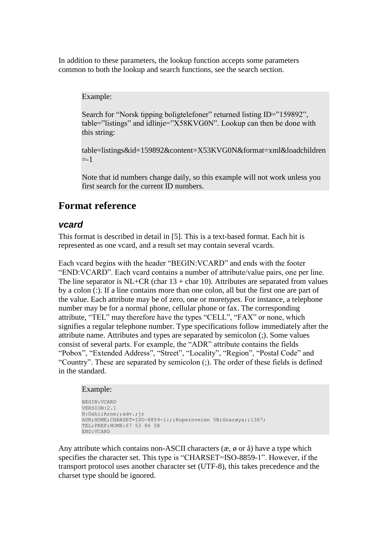In addition to these parameters, the lookup function accepts some parameters common to both the lookup and search functions, see the search section.

#### Example:

Search for "Norsk tipping boligtelefoner" returned listing ID="159892", table="listings" and idlinje="X58KVG0N". Lookup can then be done with this string:

table=listings&id=159892&content=X53KVG0N&format=xml&loadchildren  $= -1$ 

Note that id numbers change daily, so this example will not work unless you first search for the current ID numbers.

### **Format reference**

### *vcard*

This format is described in detail in [5]. This is a text-based format. Each hit is represented as one vcard, and a result set may contain several vcards.

Each vcard begins with the header "BEGIN:VCARD" and ends with the footer "END:VCARD". Each vcard contains a number of attribute/value pairs, one per line. The line separator is  $NL+CR$  (char  $13 + char 10$ ). Attributes are separated from values by a colon (:). If a line contains more than one colon, all but the first one are part of the value. Each attribute may be of zero, one or more*types*. For instance, a telephone number may be for a normal phone, cellular phone or fax. The corresponding attribute, "TEL" may therefore have the types "CELL", "FAX" or none, which signifies a regular telephone number. Type specifications follow immediately after the attribute name. Attributes and types are separated by semicolon (;). Some values consist of several parts. For example, the "ADR" attribute contains the fields "Pobox", "Extended Address", "Street", "Locality", "Region", "Postal Code" and "Country". These are separated by semicolon (;). The order of these fields is defined in the standard.

#### Example:

```
BEGIN:VCARD
VERSION:2.1
N:Dahl;Arne;;adv.;jr
ADR;HOME;CHARSET=ISO-8859-1:;;Ropernveien 5B;Snarøya;;1367;
TEL;PREF;HOME:67 53 86 58
END:VCARD
```
Any attribute which contains non-ASCII characters  $(x, \phi)$  or  $\hat{a}$ ) have a type which specifies the character set. This type is "CHARSET=ISO-8859-1". However, if the transport protocol uses another character set (UTF-8), this takes precedence and the charset type should be ignored.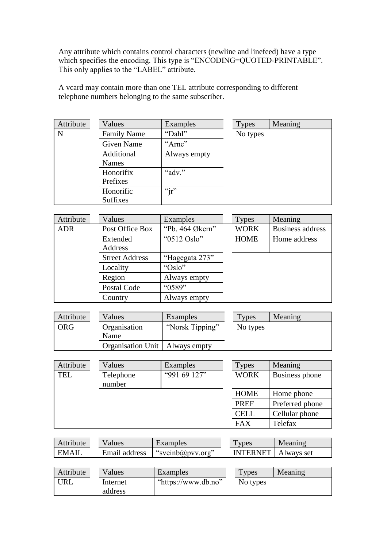Any attribute which contains control characters (newline and linefeed) have a type which specifies the encoding. This type is "ENCODING=QUOTED-PRINTABLE". This only applies to the "LABEL" attribute.

A vcard may contain more than one TEL attribute corresponding to different telephone numbers belonging to the same subscriber.

| Attribute | Values             | Examples     | <b>Types</b> | Meaning |
|-----------|--------------------|--------------|--------------|---------|
| N         | <b>Family Name</b> | "Dahl"       | No types     |         |
|           | <b>Given Name</b>  | "Arne"       |              |         |
|           | Additional         | Always empty |              |         |
|           | Names              |              |              |         |
|           | Honorifix          | "adv."       |              |         |
|           | Prefixes           |              |              |         |
|           | Honorific          | " $jr$ "     |              |         |
|           | <b>Suffixes</b>    |              |              |         |

| Attribute  | Values                | Examples        | <b>Types</b> | Meaning                 |
|------------|-----------------------|-----------------|--------------|-------------------------|
| <b>ADR</b> | Post Office Box       | "Pb. 464 Økern" | <b>WORK</b>  | <b>Business address</b> |
|            | Extended              | "0512 Oslo"     | <b>HOME</b>  | Home address            |
|            | Address               |                 |              |                         |
|            | <b>Street Address</b> | "Hagegata 273"  |              |                         |
|            | Locality              | " $Oslo"$       |              |                         |
|            | Region                | Always empty    |              |                         |
|            | Postal Code           | "0589"          |              |                         |
|            | Country               | Always empty    |              |                         |

| Attribute  | Values                           | Examples        | Types    | Meaning |
|------------|----------------------------------|-----------------|----------|---------|
| <b>ORG</b> | Organisation<br>Name             | "Norsk Tipping" | No types |         |
|            | Organisation Unit   Always empty |                 |          |         |

| Attribute  | Values              | Examples     | <b>Types</b> | Meaning         |
|------------|---------------------|--------------|--------------|-----------------|
| <b>TEL</b> | Telephone<br>number | "991 69 127" | <b>WORK</b>  | Business phone  |
|            |                     |              | <b>HOME</b>  | Home phone      |
|            |                     |              | <b>PREF</b>  | Preferred phone |
|            |                     |              | <b>CELL</b>  | Cellular phone  |
|            |                     |              | <b>FAX</b>   | Telefax         |

| Attribute | Values        | Examples         | Types                        | Meaning |
|-----------|---------------|------------------|------------------------------|---------|
| EMAII     | Email address | "sveinb@pvv.org" | <b>INTERNET</b>   Always set |         |
|           |               |                  |                              |         |

| "https://www.db.no"<br>'JRL<br>No types<br>Internet | Attribute | Values  | Examples | Types | Meaning |
|-----------------------------------------------------|-----------|---------|----------|-------|---------|
|                                                     |           | address |          |       |         |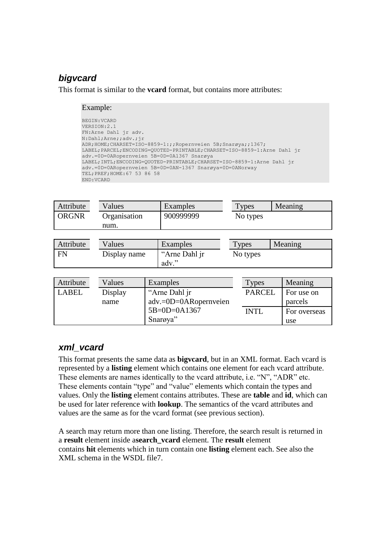# *bigvcard*

This format is similar to the **vcard** format, but contains more attributes:

#### Example:

```
BEGIN:VCARD
VERSION:2.1
FN:Arne Dahl jr adv.
N:Dahl;Arne;;adv.;jr
ADR;HOME;CHARSET=ISO-8859-1:;;Ropernveien 5B;Snarøya;;1367;
LABEL;PARCEL;ENCODING=QUOTED-PRINTABLE;CHARSET=ISO-8859-1:Arne Dahl jr 
adv.=0D=0ARopernveien 5B=0D=0A1367 Snarøya
LABEL;INTL;ENCODING=QUOTED-PRINTABLE;CHARSET=ISO-8859-1:Arne Dahl jr 
adv.=0D=0ARopernveien 5B=0D=0AN-1367 Snarøya=0D=0ANorway
TEL;PREF;HOME:67 53 86 58
END:VCARD
```

| Attribute    | Values       |                                                                    | Examples  |               | <b>Types</b> |  | Meaning      |
|--------------|--------------|--------------------------------------------------------------------|-----------|---------------|--------------|--|--------------|
| <b>ORGNR</b> | Organisation |                                                                    | 900999999 |               | No types     |  |              |
|              | num.         |                                                                    |           |               |              |  |              |
|              |              |                                                                    |           |               |              |  |              |
| Attribute    | Values       |                                                                    | Examples  |               | <b>Types</b> |  | Meaning      |
| <b>FN</b>    | Display name | "Arne Dahl jr                                                      |           | No types      |              |  |              |
|              |              |                                                                    | adv."     |               |              |  |              |
|              |              |                                                                    |           |               |              |  |              |
| Attribute    | Values       |                                                                    | Examples  |               | <b>Types</b> |  | Meaning      |
| <b>LABEL</b> | Display      | "Arne Dahl jr<br>adv.=0D=0ARopernveien<br>5B=0D=0A1367<br>Snarøya" |           | <b>PARCEL</b> |              |  | For use on   |
|              | name         |                                                                    |           |               |              |  | parcels      |
|              |              |                                                                    |           |               | <b>INTL</b>  |  | For overseas |
|              |              |                                                                    |           |               |              |  | use          |

### *xml\_vcard*

This format presents the same data as **bigvcard**, but in an XML format. Each vcard is represented by a **listing** element which contains one element for each vcard attribute. These elements are names identically to the vcard attribute, i.e. "N", "ADR" etc. These elements contain "type" and "value" elements which contain the types and values. Only the **listing** element contains attributes. These are **table** and **id**, which can be used for later reference with **lookup**. The semantics of the vcard attributes and values are the same as for the vcard format (see previous section).

A search may return more than one listing. Therefore, the search result is returned in a **result** element inside a**search\_vcard** element. The **result** element contains **hit** elements which in turn contain one **listing** element each. See also the XML schema in the WSDL file7.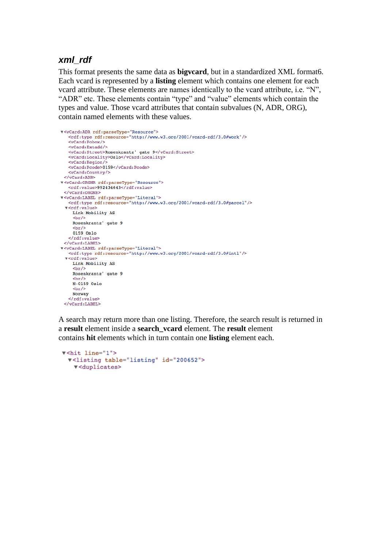### *xml\_rdf*

This format presents the same data as **bigvcard**, but in a standardized XML format6. Each vcard is represented by a **listing** element which contains one element for each vcard attribute. These elements are names identically to the vcard attribute, i.e. "N", "ADR" etc. These elements contain "type" and "value" elements which contain the types and value. Those vcard attributes that contain subvalues (N, ADR, ORG), contain named elements with these values.

```
▼<vCard:ADR rdf:parseType="Resource">
   <rdf:type rdf:resource="http://www.w3.org/2001/vcard-rdf/3.0#work"/>
   <vCard:Pobox/<vCard:Extadd/>
   <vCard:Street>Rosenkrantz' gate 9</vCard:Street>
   <vCard:Locality>Oslo</vCard:Locality>
   <vCard:Region/>
   <vCard:Pcode>0159</vCard:Pcode>
   <vCard:Country/>
 \langle/vCard:ADR>
v<vCard:ORGNR rdf:parseType="Resource">
   <rdf:value>992434643</rdf:value>
 </vCard:ORGNR>
▼<vCard:LABEL rdf:parseType="Literal">
   <rdf:type rdf:resource="http://www.w3.org/2001/vcard-rdf/3.0#parcel"/>
 v<rdf:value>
    Link Mobility AS
    br/Rosenkrantz' gate 9
    chr/s0159 Oslo
   </rdf:value>
 \langle/vCard:LABEL>
▼<vCard:LABEL rdf:parseType="Literal">
   <rdf:type rdf:resource="http://www.w3.org/2001/vcard-rdf/3.0#intl"/>
 v<rdf:value>
    Link Mobility AS
    br/Rosenkrantz' gate 9
    <br/><br/>br/>N-0159 Oslo
    br/Norway
   </rdf:value>
 </vCard:LABEL>
```
A search may return more than one listing. Therefore, the search result is returned in a **result** element inside a **search\_vcard** element. The **result** element contains **hit** elements which in turn contain one **listing** element each.

```
v<hit line="1">
 v<listing table="listing" id="200652">
   v<duplicates>
```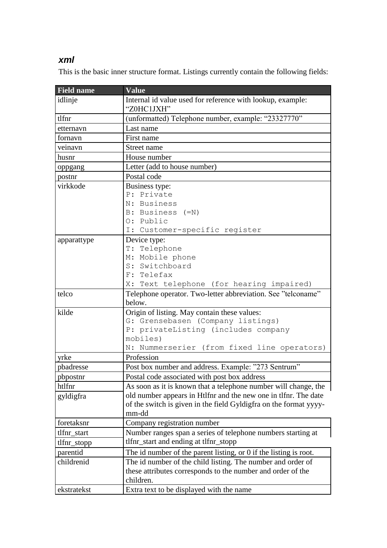## *xml*

This is the basic inner structure format. Listings currently contain the following fields:

| <b>Field name</b> | <b>Value</b>                                                      |  |
|-------------------|-------------------------------------------------------------------|--|
| idlinje           | Internal id value used for reference with lookup, example:        |  |
|                   | "Z0HC1JXH"                                                        |  |
| tlfnr             | (unformatted) Telephone number, example: "23327770"               |  |
| etternavn         | Last name                                                         |  |
| fornavn           | First name                                                        |  |
| veinavn           | Street name                                                       |  |
| husnr             | House number                                                      |  |
| oppgang           | Letter (add to house number)                                      |  |
| postnr            | Postal code                                                       |  |
| virkkode          | Business type:                                                    |  |
|                   | P: Private                                                        |  |
|                   | N: Business                                                       |  |
|                   | B: Business (=N)                                                  |  |
|                   | O: Public                                                         |  |
|                   | I: Customer-specific register                                     |  |
| apparattype       | Device type:                                                      |  |
|                   | T: Telephone                                                      |  |
|                   | M: Mobile phone                                                   |  |
|                   | S: Switchboard                                                    |  |
|                   | F: Telefax                                                        |  |
|                   | X: Text telephone (for hearing impaired)                          |  |
| telco             | Telephone operator. Two-letter abbreviation. See "telconame"      |  |
|                   | below.                                                            |  |
| kilde             | Origin of listing. May contain these values:                      |  |
|                   | G: Grensebasen (Company listings)                                 |  |
|                   | P: privateListing (includes company                               |  |
|                   | mobiles)                                                          |  |
|                   | N: Nummerserier (from fixed line operators)                       |  |
| yrke              | Profession                                                        |  |
| pbadresse         | Post box number and address. Example: "273 Sentrum"               |  |
| pbpostnr          | Postal code associated with post box address                      |  |
| htlfnr            | As soon as it is known that a telephone number will change, the   |  |
| gyldigfra         | old number appears in Htlfnr and the new one in tlfnr. The date   |  |
|                   | of the switch is given in the field Gyldigfra on the format yyyy- |  |
|                   | mm-dd                                                             |  |
| foretaksnr        | Company registration number                                       |  |
| tlfnr_start       | Number ranges span a series of telephone numbers starting at      |  |
| tlfnr_stopp       | tlfnr_start and ending at tlfnr_stopp                             |  |
| parentid          | The id number of the parent listing, or 0 if the listing is root. |  |
| childrenid        | The id number of the child listing. The number and order of       |  |
|                   | these attributes corresponds to the number and order of the       |  |
|                   | children.                                                         |  |
|                   |                                                                   |  |
| ekstratekst       | Extra text to be displayed with the name                          |  |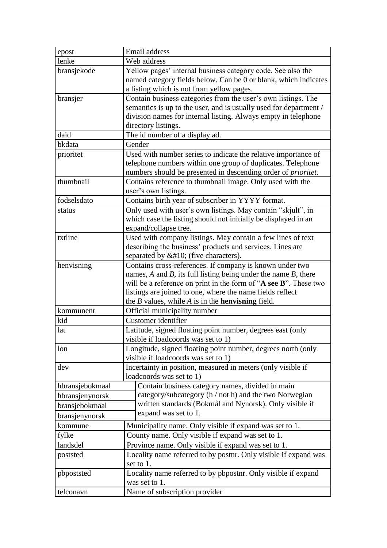| epost           | Email address                                                                                                                                                                                                                                                                                                                       |  |  |
|-----------------|-------------------------------------------------------------------------------------------------------------------------------------------------------------------------------------------------------------------------------------------------------------------------------------------------------------------------------------|--|--|
| lenke           | Web address                                                                                                                                                                                                                                                                                                                         |  |  |
| bransjekode     | Yellow pages' internal business category code. See also the<br>named category fields below. Can be 0 or blank, which indicates<br>a listing which is not from yellow pages.                                                                                                                                                         |  |  |
| bransjer        | Contain business categories from the user's own listings. The<br>semantics is up to the user, and is usually used for department /<br>division names for internal listing. Always empty in telephone<br>directory listings.                                                                                                         |  |  |
| daid            | The id number of a display ad.                                                                                                                                                                                                                                                                                                      |  |  |
| bkdata          | Gender                                                                                                                                                                                                                                                                                                                              |  |  |
| prioritet       | Used with number series to indicate the relative importance of<br>telephone numbers within one group of duplicates. Telephone<br>numbers should be presented in descending order of prioritet.                                                                                                                                      |  |  |
| thumbnail       | Contains reference to thumbnail image. Only used with the<br>user's own listings.                                                                                                                                                                                                                                                   |  |  |
| fodselsdato     | Contains birth year of subscriber in YYYY format.                                                                                                                                                                                                                                                                                   |  |  |
| status          | Only used with user's own listings. May contain "skjult", in<br>which case the listing should not initially be displayed in an<br>expand/collapse tree.                                                                                                                                                                             |  |  |
| txtline         | Used with company listings. May contain a few lines of text<br>describing the business' products and services. Lines are<br>separated by   (five characters).                                                                                                                                                                       |  |  |
| henvisning      | Contains cross-references. If company is known under two<br>names, $A$ and $B$ , its full listing being under the name $B$ , there<br>will be a reference on print in the form of "A see B". These two<br>listings are joined to one, where the name fields reflect<br>the $B$ values, while $A$ is in the <b>henvisning</b> field. |  |  |
| kommunenr       | Official municipality number                                                                                                                                                                                                                                                                                                        |  |  |
| kid             | Customer identifier                                                                                                                                                                                                                                                                                                                 |  |  |
| lat             | Latitude, signed floating point number, degrees east (only<br>visible if loadcoords was set to 1)                                                                                                                                                                                                                                   |  |  |
| lon             | Longitude, signed floating point number, degrees north (only<br>visible if loadcoords was set to 1)                                                                                                                                                                                                                                 |  |  |
| dev             | Incertainty in position, measured in meters (only visible if<br>loadcoords was set to 1)                                                                                                                                                                                                                                            |  |  |
| hbransjebokmaal | Contain business category names, divided in main                                                                                                                                                                                                                                                                                    |  |  |
| hbransjenynorsk | category/subcategory (h / not h) and the two Norwegian                                                                                                                                                                                                                                                                              |  |  |
| bransjebokmaal  | written standards (Bokmål and Nynorsk). Only visible if                                                                                                                                                                                                                                                                             |  |  |
| bransjenynorsk  | expand was set to 1.                                                                                                                                                                                                                                                                                                                |  |  |
| kommune         | Municipality name. Only visible if expand was set to 1.                                                                                                                                                                                                                                                                             |  |  |
| fylke           | County name. Only visible if expand was set to 1.                                                                                                                                                                                                                                                                                   |  |  |
| landsdel        | Province name. Only visible if expand was set to 1.                                                                                                                                                                                                                                                                                 |  |  |
| poststed        | Locality name referred to by postnr. Only visible if expand was<br>set to 1.                                                                                                                                                                                                                                                        |  |  |
| pbpoststed      | Locality name referred to by pbpostnr. Only visible if expand<br>was set to 1.                                                                                                                                                                                                                                                      |  |  |
| telconavn       | Name of subscription provider                                                                                                                                                                                                                                                                                                       |  |  |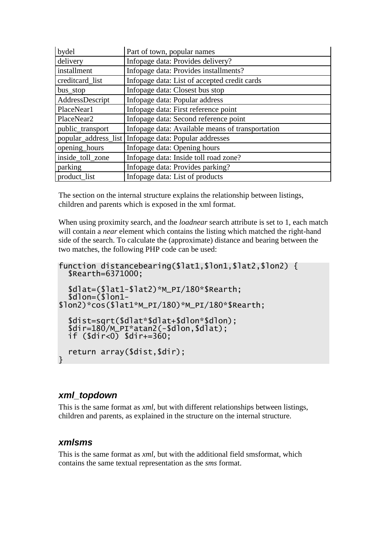| bydel                | Part of town, popular names                      |
|----------------------|--------------------------------------------------|
| delivery             | Infopage data: Provides delivery?                |
| installment          | Infopage data: Provides installments?            |
| creditcard_list      | Infopage data: List of accepted credit cards     |
| bus_stop             | Infopage data: Closest bus stop                  |
| AddressDescript      | Infopage data: Popular address                   |
| PlaceNear1           | Infopage data: First reference point             |
| PlaceNear2           | Infopage data: Second reference point            |
| public_transport     | Infopage data: Available means of transportation |
| popular_address_list | Infopage data: Popular addresses                 |
| opening_hours        | Infopage data: Opening hours                     |
| inside_toll_zone     | Infopage data: Inside toll road zone?            |
| parking              | Infopage data: Provides parking?                 |
| product list         | Infopage data: List of products                  |

The section on the internal structure explains the relationship between listings, children and parents which is exposed in the xml format.

When using proximity search, and the *loadnear* search attribute is set to 1, each match will contain a *near* element which contains the listing which matched the right-hand side of the search. To calculate the (approximate) distance and bearing between the two matches, the following PHP code can be used:

```
function distancebearing($lat1,$lon1,$lat2,$lon2) {
  $Rearth=6371000;
  $dlat=($lat1-$lat2)*M_PI/180*$Rearth;
  $dlon=$1on1-
$lon2)*cos($lat1*M_PI/180)*M_PI/180*$Rearth;
  $dist=sqrt($dlat*$dlat+$dlon*$dlon);
  $dir=180/M_PI*atan2(-$dlon,$dlat);
  if ($dir<0) $dir+=360;
  return array($dist,$dir);
}
```
### *xml\_topdown*

This is the same format as *xml*, but with different relationships between listings, children and parents, as explained in the structure on the internal structure.

### *xmlsms*

This is the same format as *xml*, but with the additional field smsformat, which contains the same textual representation as the *sms* format.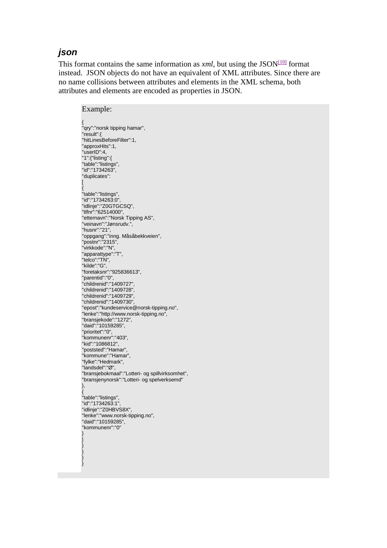### *json*

This format contains the same information as  $xml$ , but using the JSON<sup>[\[10\]](http://live.intouch.no/tk/doc.php?id=searchphp#_edn10)</sup> format instead. JSON objects do not have an equivalent of XML attributes. Since there are no name collisions between attributes and elements in the XML schema, both attributes and elements are encoded as properties in JSON.

Example: { "qry":"norsk tipping hamar", "result":{ "hitLinesBeforeFilter":1, "approxHits":1, "userID":4, "1":{"listing":{ "table":"listings", "id":"1734263", "duplicates": [ { "table":"listings", "id":"1734263:0", "idlinje":"Z0GTGCSQ", "tlfnr":"62514000", "etternavn":"Norsk Tipping AS", "veinavn":"Jønsrudv.", "husnr":"21", "oppgang":"inng. Måsåbekkveien", "postnr":"2315", "virkkode":"N", "apparattype":"T", "telco":"TN", "kilde":"G", "foretaksnr":"925836613", "parentid":"0",<br>"childrenid":"1409727". "childrenid":"1409727", "childrenid":"1409728", "childrenid":"1409729", "childrenid":"1409730", "epost":"kundeservice@norsk-tipping.no", "lenke":"http://www.norsk-tipping.no", "bransjekode":"1272", "daid":"10159285", "prioritet":"0", "kommunenr":"403", "kid":"1086812", "poststed":"Hamar", "kommune":"Hamar", "fylke":"Hedmark", "landsdel":"Ø", "bransjebokmaal":"Lotteri- og spillvirksomhet", "bransjenynorsk":"Lotteri- og spelverksemd" }, { "table":"listings", "id":"1734263:1", "idlinje":"Z0HBVS8X", "lenke":"www.norsk-tipping.no", "daid":"10159285", "kommunenr":"0" }

] } } } }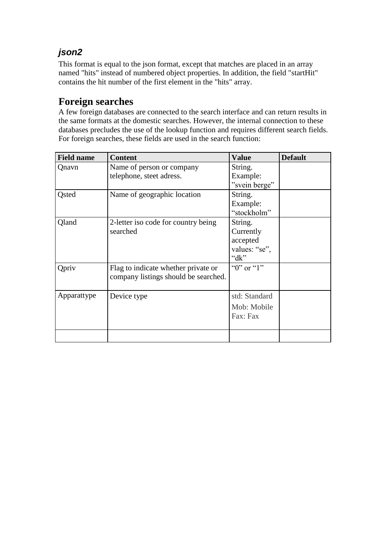# *json2*

This format is equal to the json format, except that matches are placed in an array named "hits" instead of numbered object properties. In addition, the field "startHit" contains the hit number of the first element in the "hits" array.

### **Foreign searches**

A few foreign databases are connected to the search interface and can return results in the same formats at the domestic searches. However, the internal connection to these databases precludes the use of the lookup function and requires different search fields. For foreign searches, these fields are used in the search function:

| <b>Field name</b> | <b>Content</b>                                                              | <b>Value</b>                                                  | <b>Default</b> |
|-------------------|-----------------------------------------------------------------------------|---------------------------------------------------------------|----------------|
| Qnavn             | Name of person or company<br>telephone, steet adress.                       | String.<br>Example:<br>"svein berge"                          |                |
| <b>Q</b> sted     | Name of geographic location                                                 | String.<br>Example:<br>"stockholm"                            |                |
| Qland             | 2-letter iso code for country being<br>searched                             | String.<br>Currently<br>accepted<br>values: "se",<br>" $dk$ " |                |
| Qpriv             | Flag to indicate whether private or<br>company listings should be searched. | " $0$ " or " $1$ "                                            |                |
| Apparattype       | Device type                                                                 | std: Standard<br>Mob: Mobile<br>Fax: Fax                      |                |
|                   |                                                                             |                                                               |                |